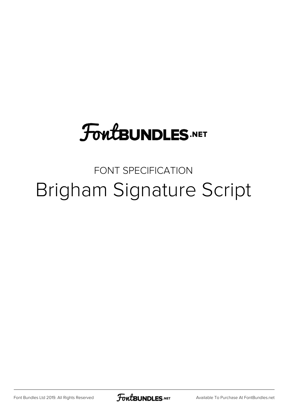## **FoutBUNDLES.NET**

## FONT SPECIFICATION Brigham Signature Script

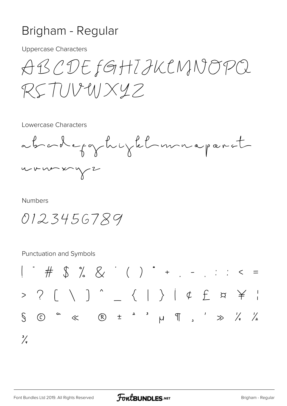## Brigham - Regular

**Uppercase Characters** 

ABCDEFGHIJKCNNOPQ  $RSTUVWXYZ$ 

Lowercase Characters



**Numbers** 

0123456789

**Punctuation and Symbols** 

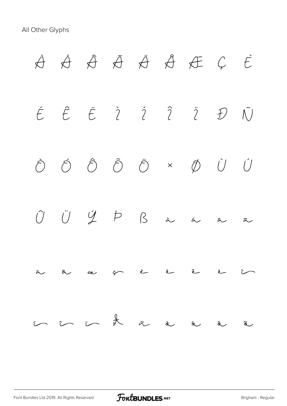All Other Glyphs